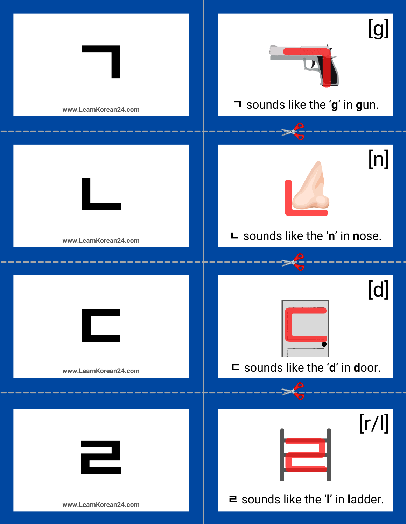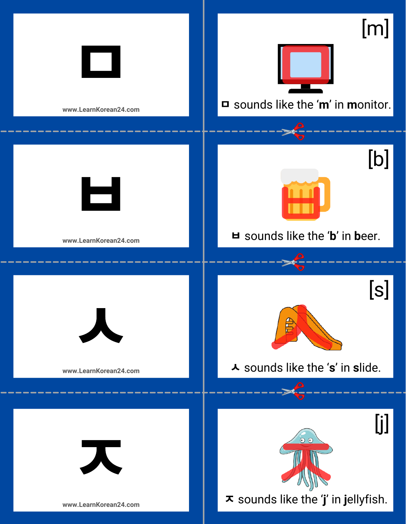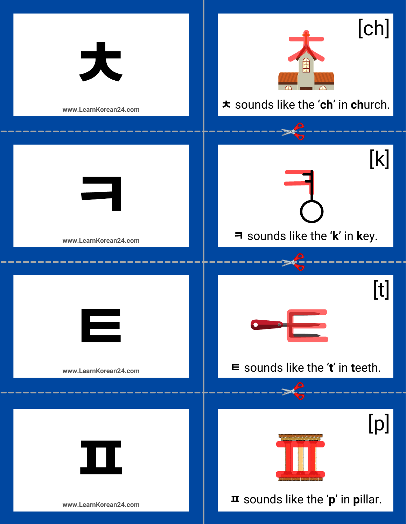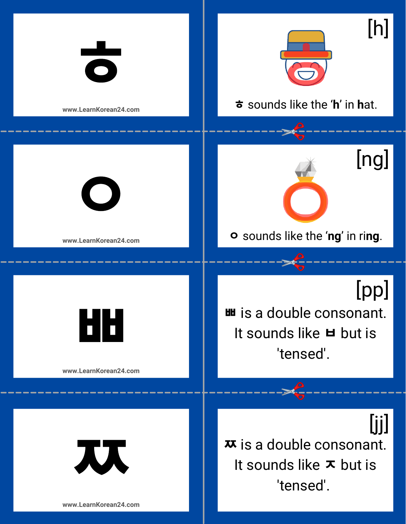